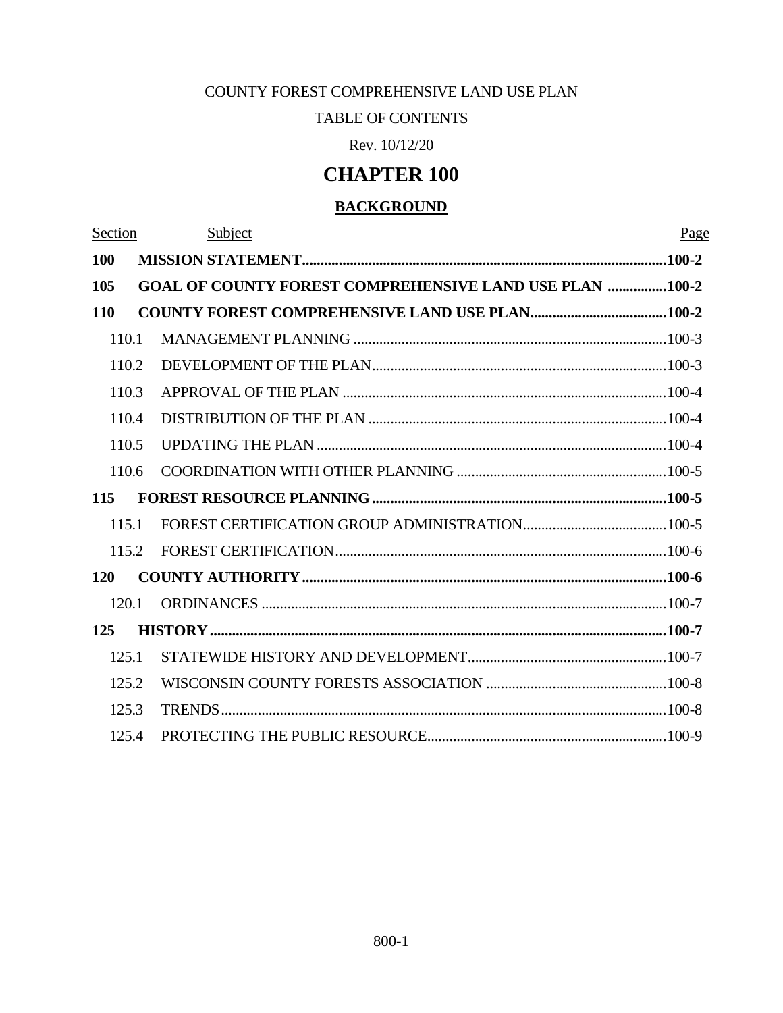# COUNTY FOREST COMPREHENSIVE LAND USE PLAN

# TABLE OF CONTENTS

Rev. 10/12/20

# **CHAPTER 100**

# **BACKGROUND**

| Section    |       | Subject                                                        | Page |
|------------|-------|----------------------------------------------------------------|------|
| 100        |       |                                                                |      |
| 105        |       | <b>GOAL OF COUNTY FOREST COMPREHENSIVE LAND USE PLAN 100-2</b> |      |
| <b>110</b> |       |                                                                |      |
| 110.1      |       |                                                                |      |
| 110.2      |       |                                                                |      |
| 110.3      |       |                                                                |      |
| 110.4      |       |                                                                |      |
| 110.5      |       |                                                                |      |
|            | 110.6 |                                                                |      |
| 115        |       |                                                                |      |
| 115.1      |       |                                                                |      |
|            | 115.2 |                                                                |      |
| <b>120</b> |       |                                                                |      |
|            | 120.1 |                                                                |      |
| 125        |       |                                                                |      |
| 125.1      |       |                                                                |      |
| 125.2      |       |                                                                |      |
| 125.3      |       |                                                                |      |
|            | 125.4 |                                                                |      |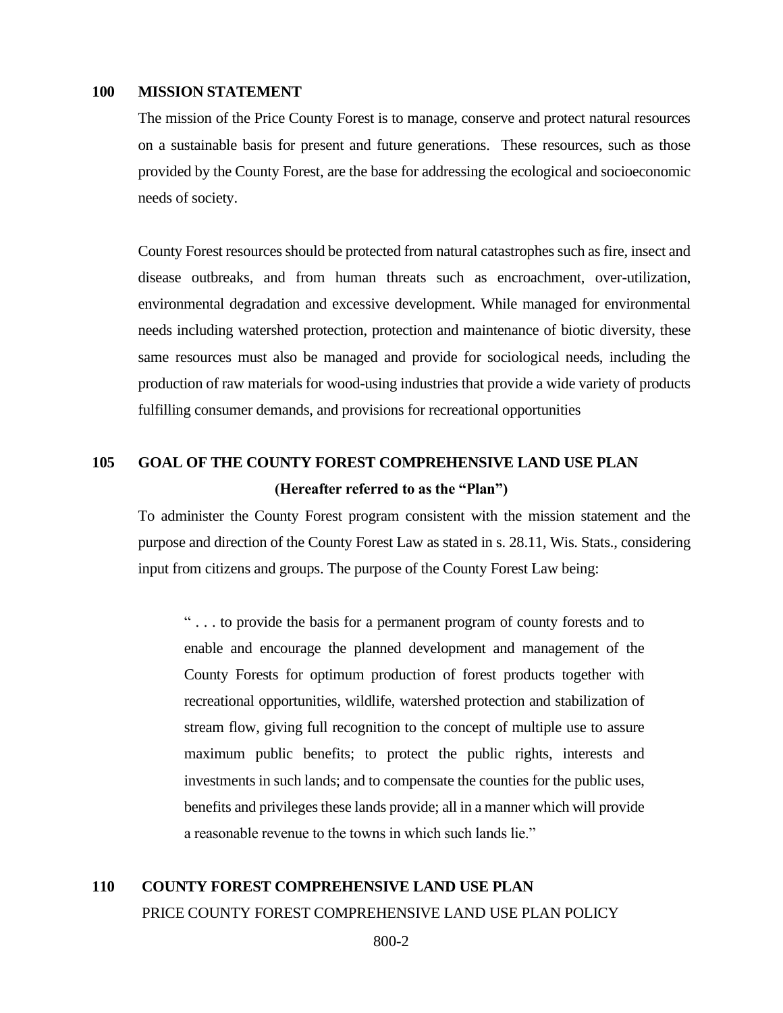## **100 MISSION STATEMENT**

<span id="page-1-0"></span>The mission of the Price County Forest is to manage, conserve and protect natural resources on a sustainable basis for present and future generations. These resources, such as those provided by the County Forest, are the base for addressing the ecological and socioeconomic needs of society.

County Forest resources should be protected from natural catastrophes such as fire, insect and disease outbreaks, and from human threats such as encroachment, over-utilization, environmental degradation and excessive development. While managed for environmental needs including watershed protection, protection and maintenance of biotic diversity, these same resources must also be managed and provide for sociological needs, including the production of raw materials for wood-using industries that provide a wide variety of products fulfilling consumer demands, and provisions for recreational opportunities

# <span id="page-1-1"></span>**105 GOAL OF THE COUNTY FOREST COMPREHENSIVE LAND USE PLAN (Hereafter referred to as the "Plan")**

To administer the County Forest program consistent with the mission statement and the purpose and direction of the County Forest Law as stated in s. 28.11, Wis. Stats., considering input from citizens and groups. The purpose of the County Forest Law being:

" . . . to provide the basis for a permanent program of county forests and to enable and encourage the planned development and management of the County Forests for optimum production of forest products together with recreational opportunities, wildlife, watershed protection and stabilization of stream flow, giving full recognition to the concept of multiple use to assure maximum public benefits; to protect the public rights, interests and investments in such lands; and to compensate the counties for the public uses, benefits and privileges these lands provide; all in a manner which will provide a reasonable revenue to the towns in which such lands lie."

# <span id="page-1-2"></span>**110 COUNTY FOREST COMPREHENSIVE LAND USE PLAN**  PRICE COUNTY FOREST COMPREHENSIVE LAND USE PLAN POLICY

800-2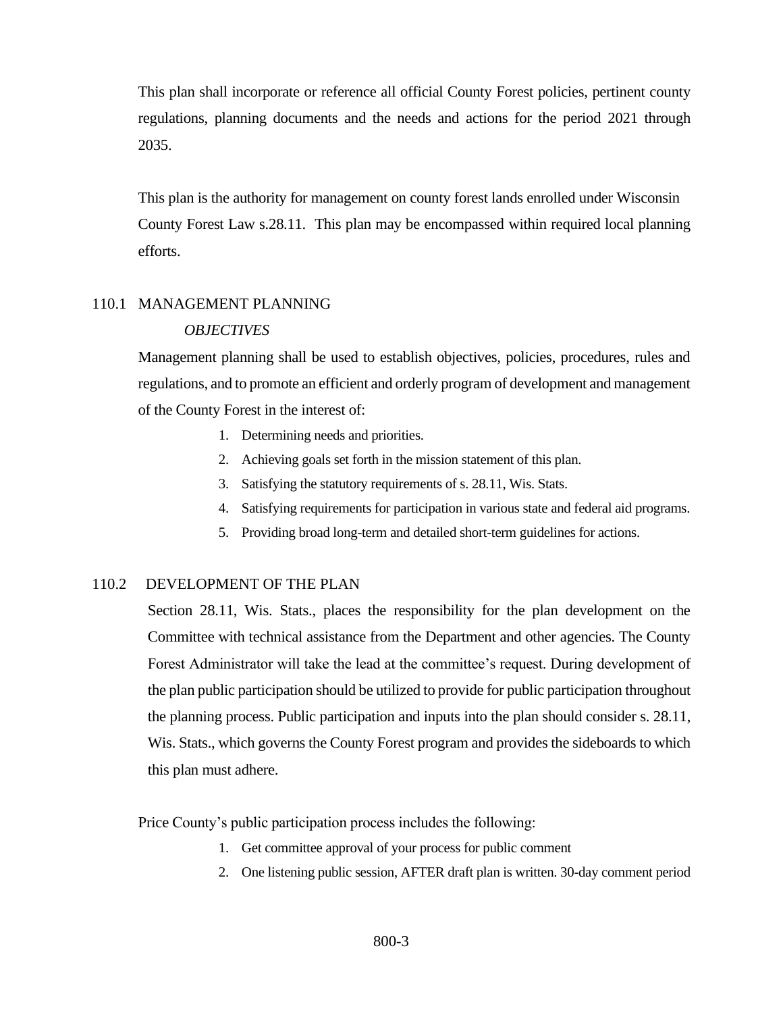This plan shall incorporate or reference all official County Forest policies, pertinent county regulations, planning documents and the needs and actions for the period 2021 through 2035.

This plan is the authority for management on county forest lands enrolled under Wisconsin County Forest Law s.28.11. This plan may be encompassed within required local planning efforts.

# <span id="page-2-0"></span>110.1 MANAGEMENT PLANNING

## *OBJECTIVES*

Management planning shall be used to establish objectives, policies, procedures, rules and regulations, and to promote an efficient and orderly program of development and management of the County Forest in the interest of:

- 1. Determining needs and priorities.
- 2. Achieving goals set forth in the mission statement of this plan.
- 3. Satisfying the statutory requirements of s. 28.11, Wis. Stats.
- 4. Satisfying requirements for participation in various state and federal aid programs.
- 5. Providing broad long-term and detailed short-term guidelines for actions.

## <span id="page-2-1"></span>110.2 DEVELOPMENT OF THE PLAN

Section 28.11, Wis. Stats., places the responsibility for the plan development on the Committee with technical assistance from the Department and other agencies. The County Forest Administrator will take the lead at the committee's request. During development of the plan public participation should be utilized to provide for public participation throughout the planning process. Public participation and inputs into the plan should consider s. 28.11, Wis. Stats., which governs the County Forest program and provides the sideboards to which this plan must adhere.

Price County's public participation process includes the following:

- 1. Get committee approval of your process for public comment
- 2. One listening public session, AFTER draft plan is written. 30-day comment period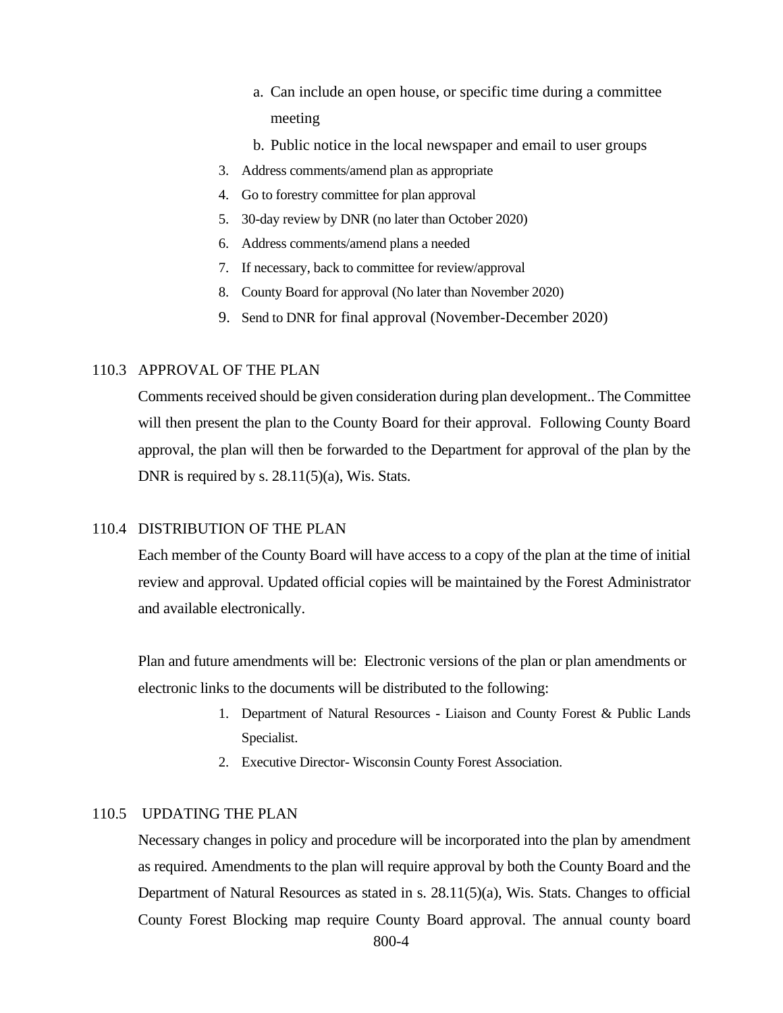- a. Can include an open house, or specific time during a committee meeting
- b. Public notice in the local newspaper and email to user groups
- 3. Address comments/amend plan as appropriate
- 4. Go to forestry committee for plan approval
- 5. 30-day review by DNR (no later than October 2020)
- 6. Address comments/amend plans a needed
- 7. If necessary, back to committee for review/approval
- 8. County Board for approval (No later than November 2020)
- 9. Send to DNR for final approval (November-December 2020)

#### <span id="page-3-0"></span>110.3 APPROVAL OF THE PLAN

Comments received should be given consideration during plan development.. The Committee will then present the plan to the County Board for their approval. Following County Board approval, the plan will then be forwarded to the Department for approval of the plan by the DNR is required by s.  $28.11(5)(a)$ , Wis. Stats.

## <span id="page-3-1"></span>110.4 DISTRIBUTION OF THE PLAN

Each member of the County Board will have access to a copy of the plan at the time of initial review and approval. Updated official copies will be maintained by the Forest Administrator and available electronically.

Plan and future amendments will be: Electronic versions of the plan or plan amendments or electronic links to the documents will be distributed to the following:

- 1. Department of Natural Resources Liaison and County Forest & Public Lands Specialist.
- 2. Executive Director- Wisconsin County Forest Association.

### <span id="page-3-2"></span>110.5 UPDATING THE PLAN

Necessary changes in policy and procedure will be incorporated into the plan by amendment as required. Amendments to the plan will require approval by both the County Board and the Department of Natural Resources as stated in s. 28.11(5)(a), Wis. Stats. Changes to official County Forest Blocking map require County Board approval. The annual county board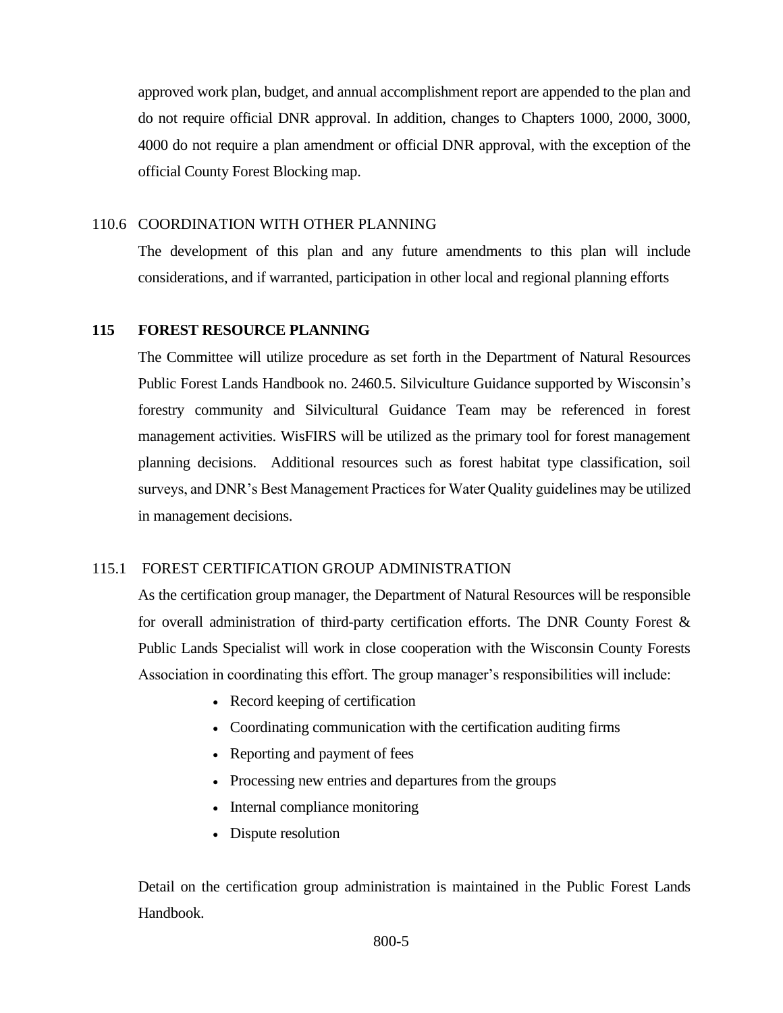approved work plan, budget, and annual accomplishment report are appended to the plan and do not require official DNR approval. In addition, changes to Chapters 1000, 2000, 3000, 4000 do not require a plan amendment or official DNR approval, with the exception of the official County Forest Blocking map.

# <span id="page-4-0"></span>110.6 COORDINATION WITH OTHER PLANNING

The development of this plan and any future amendments to this plan will include considerations, and if warranted, participation in other local and regional planning efforts

# <span id="page-4-1"></span>**115 FOREST RESOURCE PLANNING**

The Committee will utilize procedure as set forth in the Department of Natural Resources Public Forest Lands Handbook no. 2460.5. Silviculture Guidance supported by Wisconsin's forestry community and Silvicultural Guidance Team may be referenced in forest management activities. WisFIRS will be utilized as the primary tool for forest management planning decisions. Additional resources such as forest habitat type classification, soil surveys, and DNR's Best Management Practices for Water Quality guidelines may be utilized in management decisions.

# <span id="page-4-2"></span>115.1 FOREST CERTIFICATION GROUP ADMINISTRATION

As the certification group manager, the Department of Natural Resources will be responsible for overall administration of third-party certification efforts. The DNR County Forest  $\&$ Public Lands Specialist will work in close cooperation with the Wisconsin County Forests Association in coordinating this effort. The group manager's responsibilities will include:

- Record keeping of certification
- Coordinating communication with the certification auditing firms
- Reporting and payment of fees
- Processing new entries and departures from the groups
- Internal compliance monitoring
- Dispute resolution

Detail on the certification group administration is maintained in the Public Forest Lands Handbook.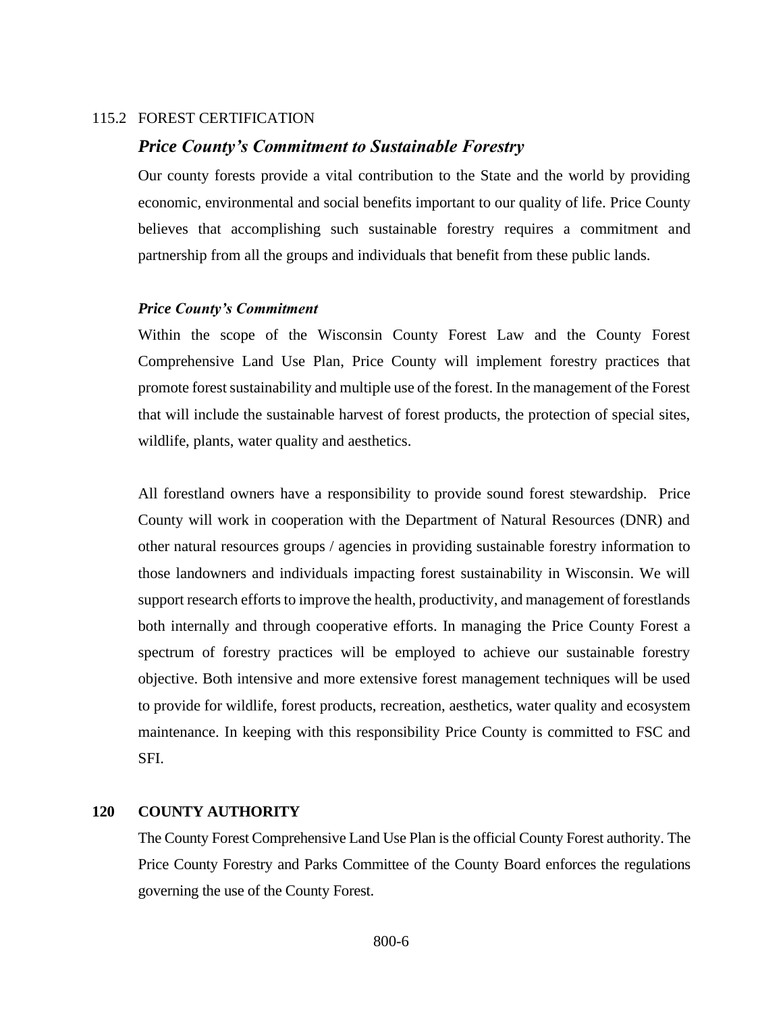## <span id="page-5-0"></span>115.2 FOREST CERTIFICATION

# *Price County's Commitment to Sustainable Forestry*

Our county forests provide a vital contribution to the State and the world by providing economic, environmental and social benefits important to our quality of life. Price County believes that accomplishing such sustainable forestry requires a commitment and partnership from all the groups and individuals that benefit from these public lands.

## *Price County's Commitment*

Within the scope of the Wisconsin County Forest Law and the County Forest Comprehensive Land Use Plan, Price County will implement forestry practices that promote forest sustainability and multiple use of the forest. In the management of the Forest that will include the sustainable harvest of forest products, the protection of special sites, wildlife, plants, water quality and aesthetics.

All forestland owners have a responsibility to provide sound forest stewardship. Price County will work in cooperation with the Department of Natural Resources (DNR) and other natural resources groups / agencies in providing sustainable forestry information to those landowners and individuals impacting forest sustainability in Wisconsin. We will support research efforts to improve the health, productivity, and management of forestlands both internally and through cooperative efforts. In managing the Price County Forest a spectrum of forestry practices will be employed to achieve our sustainable forestry objective. Both intensive and more extensive forest management techniques will be used to provide for wildlife, forest products, recreation, aesthetics, water quality and ecosystem maintenance. In keeping with this responsibility Price County is committed to FSC and SFI.

### <span id="page-5-1"></span>**120 COUNTY AUTHORITY**

The County Forest Comprehensive Land Use Plan is the official County Forest authority. The Price County Forestry and Parks Committee of the County Board enforces the regulations governing the use of the County Forest.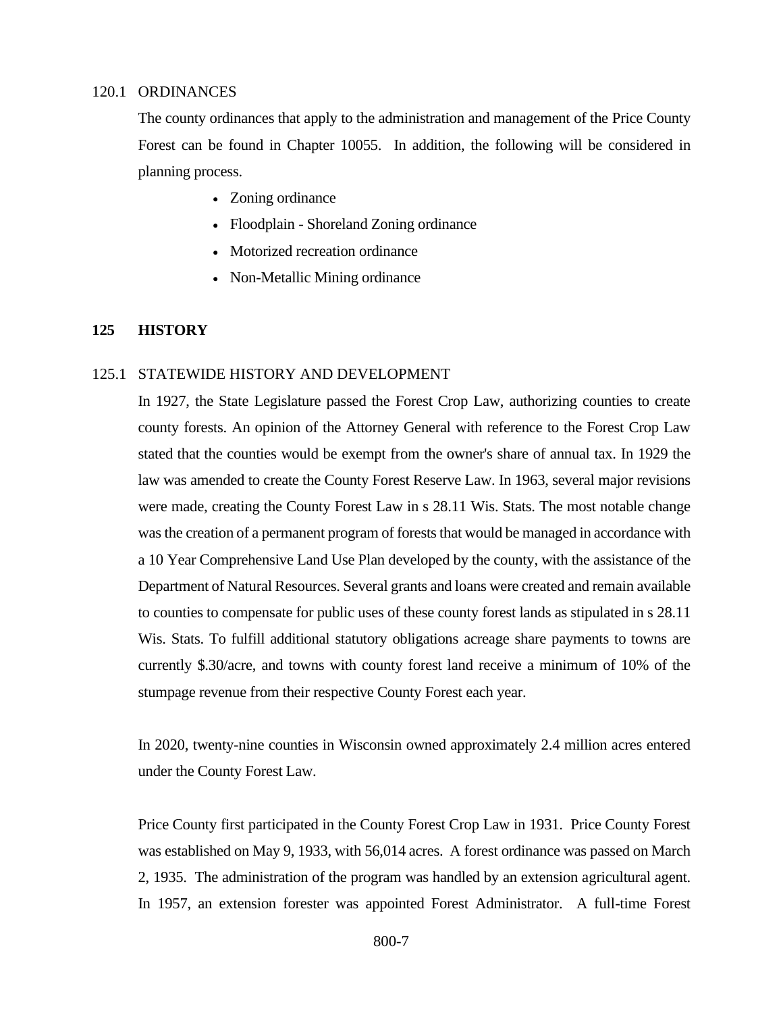#### <span id="page-6-0"></span>120.1 ORDINANCES

The county ordinances that apply to the administration and management of the Price County Forest can be found in Chapter 10055. In addition, the following will be considered in planning process.

- Zoning ordinance
- Floodplain Shoreland Zoning ordinance
- Motorized recreation ordinance
- Non-Metallic Mining ordinance

# <span id="page-6-1"></span>**125 HISTORY**

#### <span id="page-6-2"></span>125.1 STATEWIDE HISTORY AND DEVELOPMENT

In 1927, the State Legislature passed the Forest Crop Law, authorizing counties to create county forests. An opinion of the Attorney General with reference to the Forest Crop Law stated that the counties would be exempt from the owner's share of annual tax. In 1929 the law was amended to create the County Forest Reserve Law. In 1963, several major revisions were made, creating the County Forest Law in s 28.11 Wis. Stats. The most notable change was the creation of a permanent program of forests that would be managed in accordance with a 10 Year Comprehensive Land Use Plan developed by the county, with the assistance of the Department of Natural Resources. Several grants and loans were created and remain available to counties to compensate for public uses of these county forest lands as stipulated in s 28.11 Wis. Stats. To fulfill additional statutory obligations acreage share payments to towns are currently \$.30/acre, and towns with county forest land receive a minimum of 10% of the stumpage revenue from their respective County Forest each year.

In 2020, twenty-nine counties in Wisconsin owned approximately 2.4 million acres entered under the County Forest Law.

Price County first participated in the County Forest Crop Law in 1931. Price County Forest was established on May 9, 1933, with 56,014 acres. A forest ordinance was passed on March 2, 1935. The administration of the program was handled by an extension agricultural agent. In 1957, an extension forester was appointed Forest Administrator. A full-time Forest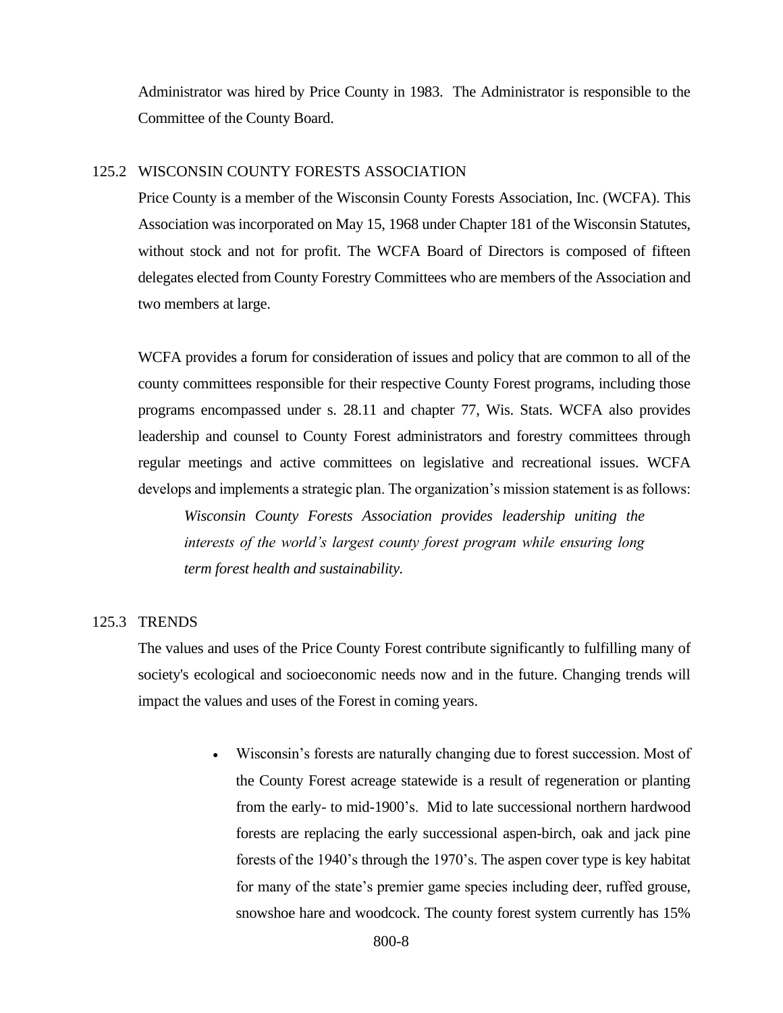Administrator was hired by Price County in 1983. The Administrator is responsible to the Committee of the County Board.

## <span id="page-7-0"></span>125.2 WISCONSIN COUNTY FORESTS ASSOCIATION

Price County is a member of the Wisconsin County Forests Association, Inc. (WCFA). This Association was incorporated on May 15, 1968 under Chapter 181 of the Wisconsin Statutes, without stock and not for profit. The WCFA Board of Directors is composed of fifteen delegates elected from County Forestry Committees who are members of the Association and two members at large.

WCFA provides a forum for consideration of issues and policy that are common to all of the county committees responsible for their respective County Forest programs, including those programs encompassed under s. 28.11 and chapter 77, Wis. Stats. WCFA also provides leadership and counsel to County Forest administrators and forestry committees through regular meetings and active committees on legislative and recreational issues. WCFA develops and implements a strategic plan. The organization's mission statement is as follows:

*Wisconsin County Forests Association provides leadership uniting the interests of the world's largest county forest program while ensuring long term forest health and sustainability.*

### <span id="page-7-1"></span>125.3 TRENDS

The values and uses of the Price County Forest contribute significantly to fulfilling many of society's ecological and socioeconomic needs now and in the future. Changing trends will impact the values and uses of the Forest in coming years.

> • Wisconsin's forests are naturally changing due to forest succession. Most of the County Forest acreage statewide is a result of regeneration or planting from the early- to mid-1900's. Mid to late successional northern hardwood forests are replacing the early successional aspen-birch, oak and jack pine forests of the 1940's through the 1970's. The aspen cover type is key habitat for many of the state's premier game species including deer, ruffed grouse, snowshoe hare and woodcock. The county forest system currently has 15%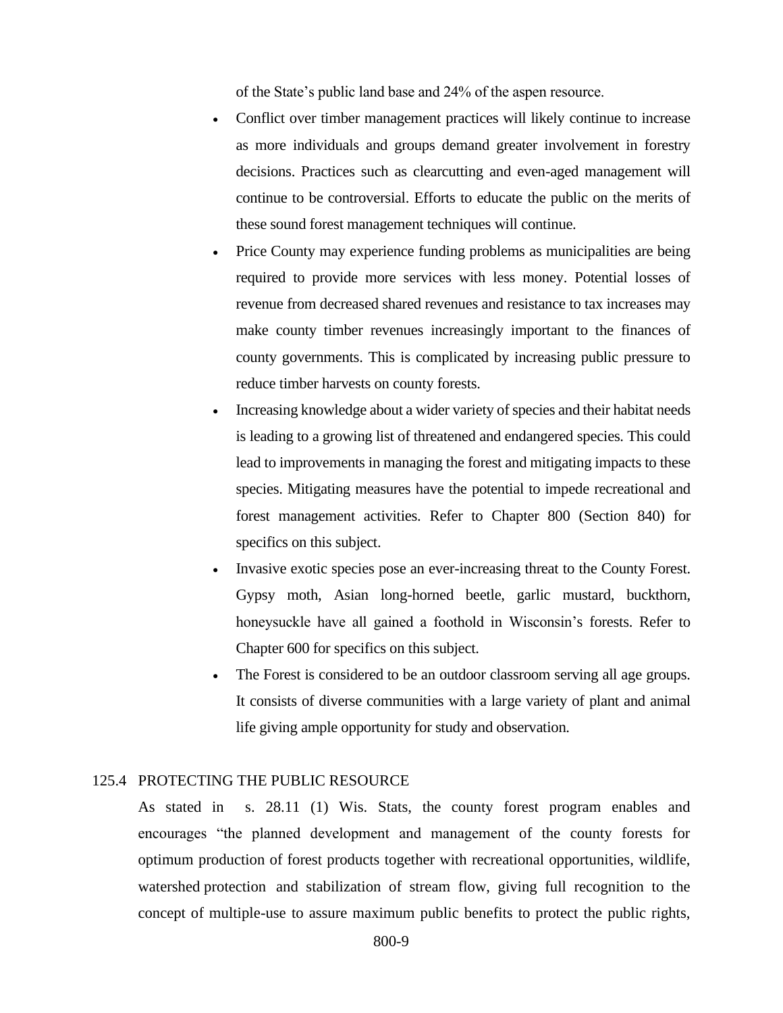of the State's public land base and 24% of the aspen resource.

- Conflict over timber management practices will likely continue to increase as more individuals and groups demand greater involvement in forestry decisions. Practices such as clearcutting and even-aged management will continue to be controversial. Efforts to educate the public on the merits of these sound forest management techniques will continue.
- Price County may experience funding problems as municipalities are being required to provide more services with less money. Potential losses of revenue from decreased shared revenues and resistance to tax increases may make county timber revenues increasingly important to the finances of county governments. This is complicated by increasing public pressure to reduce timber harvests on county forests.
- Increasing knowledge about a wider variety of species and their habitat needs is leading to a growing list of threatened and endangered species. This could lead to improvements in managing the forest and mitigating impacts to these species. Mitigating measures have the potential to impede recreational and forest management activities. Refer to Chapter 800 (Section 840) for specifics on this subject.
- Invasive exotic species pose an ever-increasing threat to the County Forest. Gypsy moth, Asian long-horned beetle, garlic mustard, buckthorn, honeysuckle have all gained a foothold in Wisconsin's forests. Refer to Chapter 600 for specifics on this subject.
- The Forest is considered to be an outdoor classroom serving all age groups. It consists of diverse communities with a large variety of plant and animal life giving ample opportunity for study and observation.

# <span id="page-8-0"></span>125.4 PROTECTING THE PUBLIC RESOURCE

As stated in s. 28.11 (1) Wis. Stats, the county forest program enables and encourages "the planned development and management of the county forests for optimum production of forest products together with recreational opportunities, wildlife, watershed protection and stabilization of stream flow, giving full recognition to the concept of multiple-use to assure maximum public benefits to protect the public rights,